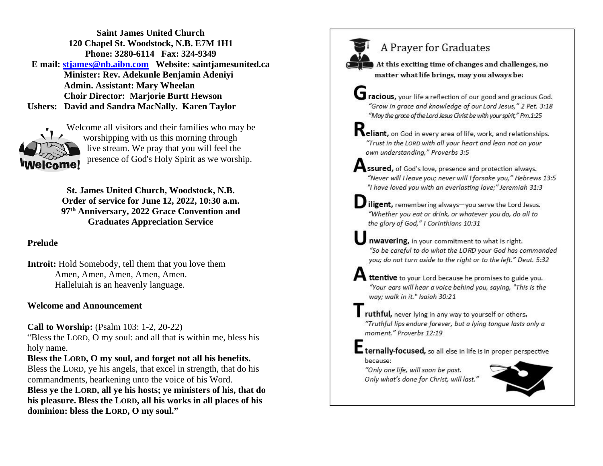**Saint James United Church 120 Chapel St. Woodstock, N.B. E7M 1H1 Phone: 3280-6114 Fax: 324-9349 E mail: [stjames@nb.aibn.com](mailto:stjames@nb.aibn.com) Website: saintjamesunited.ca Minister: Rev. Adekunle Benjamin Adeniyi Admin. Assistant: Mary Wheelan Choir Director: Marjorie Burtt Hewson Ushers: David and Sandra MacNally. Karen Taylor**



Welcome all visitors and their families who may be worshipping with us this morning through live stream. We pray that you will feel the presence of God's Holy Spirit as we worship.

**St. James United Church, Woodstock, N.B. Order of service for June 12, 2022, 10:30 a.m. 97th Anniversary, 2022 Grace Convention and Graduates Appreciation Service**

### **Prelude**

**Introit:** Hold Somebody, tell them that you love them Amen, Amen, Amen, Amen, Amen. Halleluiah is an heavenly language.

#### **Welcome and Announcement**

**Call to Worship:** (Psalm 103: 1-2, 20-22)

"Bless the LORD, O my soul: and all that is within me, bless his holy name.

**Bless the LORD, O my soul, and forget not all his benefits.**

Bless the LORD, ye his angels, that excel in strength, that do his commandments, hearkening unto the voice of his Word. **Bless ye the LORD, all ye his hosts; ye ministers of his, that do his pleasure. Bless the LORD, all his works in all places of his dominion: bless the LORD, O my soul."**

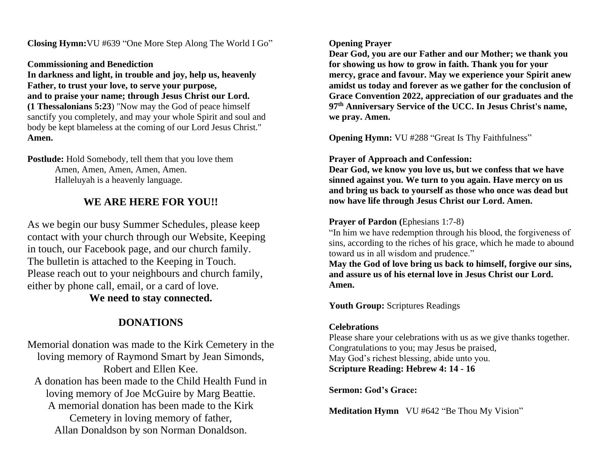**Closing Hymn:**VU #639 "One More Step Along The World I Go"

**Commissioning and Benediction**

**In darkness and light, in trouble and joy, help us, heavenly Father, to trust your love, to serve your purpose, and to praise your name; through Jesus Christ our Lord. (1 Thessalonians 5:23**) "Now may the God of peace himself sanctify you completely, and may your whole Spirit and soul and body be kept blameless at the coming of our Lord Jesus Christ." **Amen.**

**Postlude:** Hold Somebody, tell them that you love them Amen, Amen, Amen, Amen, Amen. Halleluyah is a heavenly language.

### **WE ARE HERE FOR YOU!!**

As we begin our busy Summer Schedules, please keep contact with your church through our Website, Keeping in touch, our Facebook page, and our church family. The bulletin is attached to the Keeping in Touch. Please reach out to your neighbours and church family, either by phone call, email, or a card of love.

### **We need to stay connected.**

# **DONATIONS**

Memorial donation was made to the Kirk Cemetery in the loving memory of Raymond Smart by Jean Simonds, Robert and Ellen Kee. A donation has been made to the Child Health Fund in loving memory of Joe McGuire by Marg Beattie. A memorial donation has been made to the Kirk Cemetery in loving memory of father, Allan Donaldson by son Norman Donaldson.

#### **Opening Prayer**

**Dear God, you are our Father and our Mother; we thank you for showing us how to grow in faith. Thank you for your mercy, grace and favour. May we experience your Spirit anew amidst us today and forever as we gather for the conclusion of Grace Convention 2022, appreciation of our graduates and the 97th Anniversary Service of the UCC. In Jesus Christ's name, we pray. Amen.**

**Opening Hymn:** VU #288 "Great Is Thy Faithfulness"

### **Prayer of Approach and Confession:**

**Dear God, we know you love us, but we confess that we have sinned against you. We turn to you again. Have mercy on us and bring us back to yourself as those who once was dead but now have life through Jesus Christ our Lord. Amen.**

### **Prayer of Pardon** (Ephesians 1:7-8)

"In him we have redemption through his blood, the forgiveness of sins, according to the riches of his grace, which he made to abound toward us in all wisdom and prudence."

**May the God of love bring us back to himself, forgive our sins, and assure us of his eternal love in Jesus Christ our Lord. Amen.**

**Youth Group:** Scriptures Readings

### **Celebrations**

Please share your celebrations with us as we give thanks together. Congratulations to you; may Jesus be praised, May God's richest blessing, abide unto you. **Scripture Reading: Hebrew 4: 14 - 16**

**Sermon: God's Grace:**

**Meditation Hymn** VU #642 "Be Thou My Vision"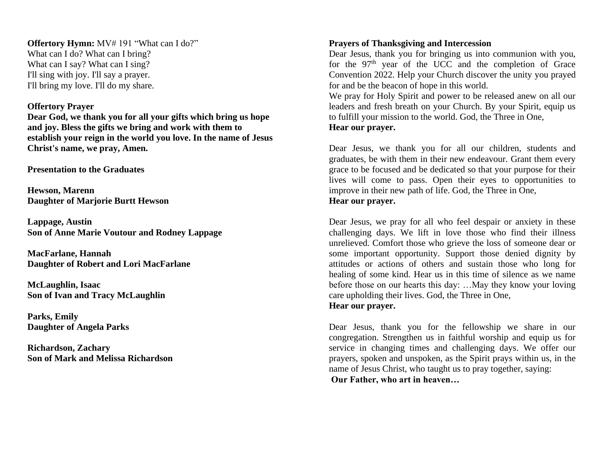**Offertory Hymn:** MV# 191 "What can I do?" What can I do? What can I bring? What can I say? What can I sing? I'll sing with joy. I'll say a prayer. I'll bring my love. I'll do my share.

#### **Offertory Prayer**

**Dear God, we thank you for all your gifts which bring us hope and joy. Bless the gifts we bring and work with them to establish your reign in the world you love. In the name of Jesus Christ's name, we pray, Amen.**

**Presentation to the Graduates** 

**Hewson, Marenn Daughter of Marjorie Burtt Hewson**

**Lappage, Austin Son of Anne Marie Voutour and Rodney Lappage** 

**MacFarlane, Hannah Daughter of Robert and Lori MacFarlane** 

**McLaughlin, Isaac Son of Ivan and Tracy McLaughlin** 

**Parks, Emily Daughter of Angela Parks** 

**Richardson, Zachary Son of Mark and Melissa Richardson** 

#### **Prayers of Thanksgiving and Intercession**

Dear Jesus, thank you for bringing us into communion with you, for the  $97<sup>th</sup>$  year of the UCC and the completion of Grace Convention 2022. Help your Church discover the unity you prayed for and be the beacon of hope in this world.

We pray for Holy Spirit and power to be released anew on all our leaders and fresh breath on your Church. By your Spirit, equip us to fulfill your mission to the world. God, the Three in One,

### **Hear our prayer.**

Dear Jesus, we thank you for all our children, students and graduates, be with them in their new endeavour. Grant them every grace to be focused and be dedicated so that your purpose for their lives will come to pass. Open their eyes to opportunities to improve in their new path of life. God, the Three in One, **Hear our prayer.**

Dear Jesus, we pray for all who feel despair or anxiety in these challenging days. We lift in love those who find their illness unrelieved. Comfort those who grieve the loss of someone dear or some important opportunity. Support those denied dignity by attitudes or actions of others and sustain those who long for healing of some kind. Hear us in this time of silence as we name before those on our hearts this day: …May they know your loving care upholding their lives. God, the Three in One,

**Hear our prayer.**

Dear Jesus, thank you for the fellowship we share in our congregation. Strengthen us in faithful worship and equip us for service in changing times and challenging days. We offer our prayers, spoken and unspoken, as the Spirit prays within us, in the name of Jesus Christ, who taught us to pray together, saying: **Our Father, who art in heaven…**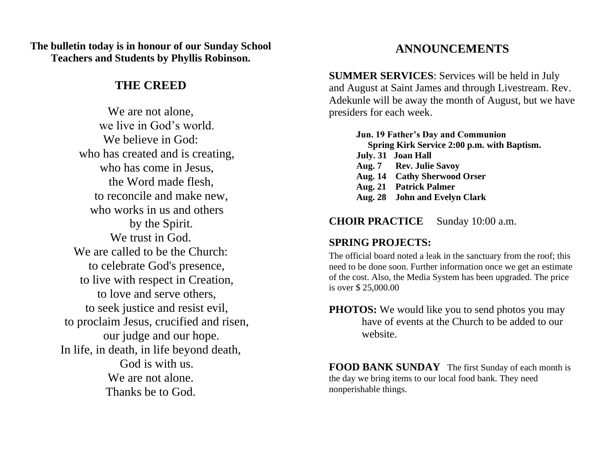**The bulletin today is in honour of our Sunday School Teachers and Students by Phyllis Robinson.**

### **THE CREED**

We are not alone, we live in God's world. We believe in God: who has created and is creating, who has come in Jesus, the Word made flesh, to reconcile and make new, who works in us and others by the Spirit. We trust in God. We are called to be the Church: to celebrate God's presence, to live with respect in Creation, to love and serve others, to seek justice and resist evil, to proclaim Jesus, crucified and risen, our judge and our hope. In life, in death, in life beyond death, God is with us. We are not alone. Thanks be to God.

# **ANNOUNCEMENTS**

**SUMMER SERVICES**: Services will be held in July and August at Saint James and through Livestream. Rev. Adekunle will be away the month of August, but we have presiders for each week.

**Jun. 19 Father's Day and Communion Spring Kirk Service 2:00 p.m. with Baptism. July. 31 Joan Hall Aug. 7 Rev. Julie Savoy Aug. 14 Cathy Sherwood Orser Aug. 21 Patrick Palmer Aug. 28 John and Evelyn Clark**

### **CHOIR PRACTICE** Sunday 10:00 a.m.

### **SPRING PROJECTS:**

The official board noted a leak in the sanctuary from the roof; this need to be done soon. Further information once we get an estimate of the cost. Also, the Media System has been upgraded. The price is over \$ 25,000.00

**PHOTOS:** We would like you to send photos you may have of events at the Church to be added to our website.

**FOOD BANK SUNDAY** The first Sunday of each month is the day we bring items to our local food bank. They need nonperishable things.